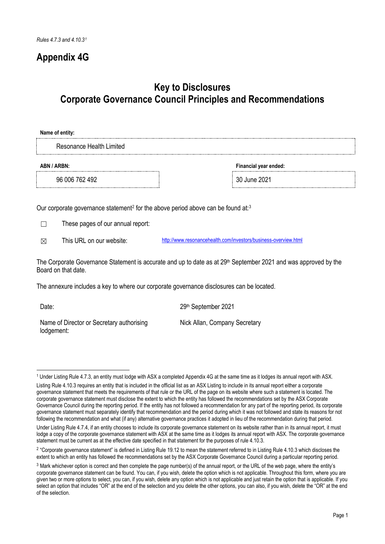# **Appendix 4G**

# **Key to Disclosures Corporate Governance Council Principles and Recommendations**

| Name of entity:                                                                                                                                                                |                                                                                                                             |
|--------------------------------------------------------------------------------------------------------------------------------------------------------------------------------|-----------------------------------------------------------------------------------------------------------------------------|
| Resonance Health Limited                                                                                                                                                       |                                                                                                                             |
| ABN / ARBN:                                                                                                                                                                    | Financial year ended:                                                                                                       |
| 96 006 762 492                                                                                                                                                                 | 30 June 2021                                                                                                                |
| Our corporate governance statement <sup>2</sup> for the above period above can be found at: <sup>3</sup><br>These pages of our annual report:<br>This URL on our website:<br>⊠ | http://www.resonancehealth.com/investors/business-overview.html                                                             |
| Board on that date.                                                                                                                                                            | The Corporate Governance Statement is accurate and up to date as at 29 <sup>th</sup> September 2021 and was approved by the |
|                                                                                                                                                                                | The annexure includes a key to where our corporate governance disclosures can be located.                                   |

Date: 2021

Name of Director or Secretary authorising lodgement:

Nick Allan, Company Secretary

<span id="page-0-0"></span><sup>1</sup> Under Listing Rule 4.7.3, an entity must lodge with ASX a completed Appendix 4G at the same time as it lodges its annual report with ASX.

Listing Rule 4.10.3 requires an entity that is included in the official list as an ASX Listing to include in its annual report either a corporate governance statement that meets the requirements of that rule or the URL of the page on its website where such a statement is located. The corporate governance statement must disclose the extent to which the entity has followed the recommendations set by the ASX Corporate Governance Council during the reporting period. If the entity has not followed a recommendation for any part of the reporting period, its corporate governance statement must separately identify that recommendation and the period during which it was not followed and state its reasons for not following the recommendation and what (if any) alternative governance practices it adopted in lieu of the recommendation during that period.

Under Listing Rule 4.7.4, if an entity chooses to include its corporate governance statement on its website rather than in its annual report, it must lodge a copy of the corporate governance statement with ASX at the same time as it lodges its annual report with ASX. The corporate governance statement must be current as at the effective date specified in that statement for the purposes of rule 4.10.3.

<span id="page-0-1"></span><sup>&</sup>lt;sup>2</sup> "Corporate governance statement" is defined in Listing Rule 19.12 to mean the statement referred to in Listing Rule 4.10.3 which discloses the extent to which an entity has followed the recommendations set by the ASX Corporate Governance Council during a particular reporting period.

<span id="page-0-2"></span><sup>3</sup> Mark whichever option is correct and then complete the page number(s) of the annual report, or the URL of the web page, where the entity's corporate governance statement can be found. You can, if you wish, delete the option which is not applicable. Throughout this form, where you are given two or more options to select, you can, if you wish, delete any option which is not applicable and just retain the option that is applicable. If you select an option that includes "OR" at the end of the selection and you delete the other options, you can also, if you wish, delete the "OR" at the end of the selection.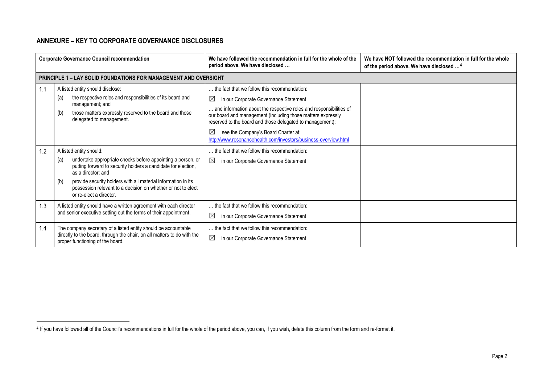# <span id="page-1-0"></span>**ANNEXURE – KEY TO CORPORATE GOVERNANCE DISCLOSURES**

|     | <b>Corporate Governance Council recommendation</b>                                                                                                                            | We have followed the recommendation in full for the whole of the<br>period above. We have disclosed                                                                                            | We have NOT followed the recommendation in full for the whole<br>of the period above. We have disclosed <sup>4</sup> |
|-----|-------------------------------------------------------------------------------------------------------------------------------------------------------------------------------|------------------------------------------------------------------------------------------------------------------------------------------------------------------------------------------------|----------------------------------------------------------------------------------------------------------------------|
|     | <b>PRINCIPLE 1 - LAY SOLID FOUNDATIONS FOR MANAGEMENT AND OVERSIGHT</b>                                                                                                       |                                                                                                                                                                                                |                                                                                                                      |
| 1.1 | A listed entity should disclose:                                                                                                                                              | the fact that we follow this recommendation:                                                                                                                                                   |                                                                                                                      |
|     | the respective roles and responsibilities of its board and<br>(a)<br>management; and                                                                                          | $\boxtimes$<br>in our Corporate Governance Statement                                                                                                                                           |                                                                                                                      |
|     | those matters expressly reserved to the board and those<br>(b)<br>delegated to management.                                                                                    | and information about the respective roles and responsibilities of<br>our board and management (including those matters expressly<br>reserved to the board and those delegated to management): |                                                                                                                      |
|     |                                                                                                                                                                               | $\boxtimes$<br>see the Company's Board Charter at:<br>http://www.resonancehealth.com/investors/business-overview.html                                                                          |                                                                                                                      |
| 1.2 | A listed entity should:                                                                                                                                                       | the fact that we follow this recommendation:                                                                                                                                                   |                                                                                                                      |
|     | undertake appropriate checks before appointing a person, or<br>(a)<br>putting forward to security holders a candidate for election,<br>as a director: and                     | $\boxtimes$<br>in our Corporate Governance Statement                                                                                                                                           |                                                                                                                      |
|     | provide security holders with all material information in its<br>(b)<br>possession relevant to a decision on whether or not to elect<br>or re-elect a director.               |                                                                                                                                                                                                |                                                                                                                      |
| 1.3 | A listed entity should have a written agreement with each director                                                                                                            | the fact that we follow this recommendation:                                                                                                                                                   |                                                                                                                      |
|     | and senior executive setting out the terms of their appointment.                                                                                                              | $\boxtimes$<br>in our Corporate Governance Statement                                                                                                                                           |                                                                                                                      |
| 1.4 | The company secretary of a listed entity should be accountable<br>directly to the board, through the chair, on all matters to do with the<br>proper functioning of the board. | the fact that we follow this recommendation:<br>$\boxtimes$<br>in our Corporate Governance Statement                                                                                           |                                                                                                                      |

<sup>&</sup>lt;sup>4</sup> If you have followed all of the Council's recommendations in full for the whole of the period above, you can, if you wish, delete this column from the form and re-format it.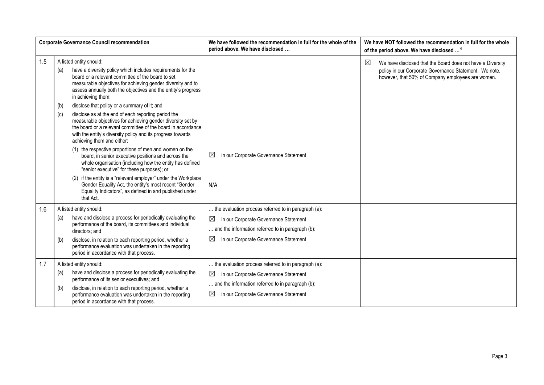|     |                   | <b>Corporate Governance Council recommendation</b>                                                                                                                                                                                                                                                                                                                                                                                                                                                                                                                                                                                                     | We have followed the recommendation in full for the whole of the<br>period above. We have disclosed                                                                                                                       | We have NOT followed the recommendation in full for the whole<br>of the period above. We have disclosed <sup>4</sup>                                                                     |
|-----|-------------------|--------------------------------------------------------------------------------------------------------------------------------------------------------------------------------------------------------------------------------------------------------------------------------------------------------------------------------------------------------------------------------------------------------------------------------------------------------------------------------------------------------------------------------------------------------------------------------------------------------------------------------------------------------|---------------------------------------------------------------------------------------------------------------------------------------------------------------------------------------------------------------------------|------------------------------------------------------------------------------------------------------------------------------------------------------------------------------------------|
| 1.5 | (a)<br>(b)<br>(c) | A listed entity should:<br>have a diversity policy which includes requirements for the<br>board or a relevant committee of the board to set<br>measurable objectives for achieving gender diversity and to<br>assess annually both the objectives and the entity's progress<br>in achieving them;<br>disclose that policy or a summary of it; and<br>disclose as at the end of each reporting period the                                                                                                                                                                                                                                               |                                                                                                                                                                                                                           | $\boxtimes$<br>We have disclosed that the Board does not have a Diversity<br>policy in our Corporate Governance Statement. We note,<br>however, that 50% of Company employees are women. |
|     |                   | measurable objectives for achieving gender diversity set by<br>the board or a relevant committee of the board in accordance<br>with the entity's diversity policy and its progress towards<br>achieving them and either:<br>(1) the respective proportions of men and women on the<br>board, in senior executive positions and across the<br>whole organisation (including how the entity has defined<br>"senior executive" for these purposes); or<br>(2) if the entity is a "relevant employer" under the Workplace<br>Gender Equality Act, the entity's most recent "Gender<br>Equality Indicators", as defined in and published under<br>that Act. | $\boxtimes$<br>in our Corporate Governance Statement<br>N/A                                                                                                                                                               |                                                                                                                                                                                          |
| 1.6 | (a)<br>(b)        | A listed entity should:<br>have and disclose a process for periodically evaluating the<br>performance of the board, its committees and individual<br>directors; and<br>disclose, in relation to each reporting period, whether a<br>performance evaluation was undertaken in the reporting<br>period in accordance with that process.                                                                                                                                                                                                                                                                                                                  | the evaluation process referred to in paragraph (a):<br>$\boxtimes$<br>in our Corporate Governance Statement<br>and the information referred to in paragraph (b):<br>$\boxtimes$<br>in our Corporate Governance Statement |                                                                                                                                                                                          |
| 1.7 | (a)<br>(b)        | A listed entity should:<br>have and disclose a process for periodically evaluating the<br>performance of its senior executives; and<br>disclose, in relation to each reporting period, whether a<br>performance evaluation was undertaken in the reporting<br>period in accordance with that process.                                                                                                                                                                                                                                                                                                                                                  | the evaluation process referred to in paragraph (a):<br>in our Corporate Governance Statement<br>$\boxtimes$<br>and the information referred to in paragraph (b):<br>$\boxtimes$<br>in our Corporate Governance Statement |                                                                                                                                                                                          |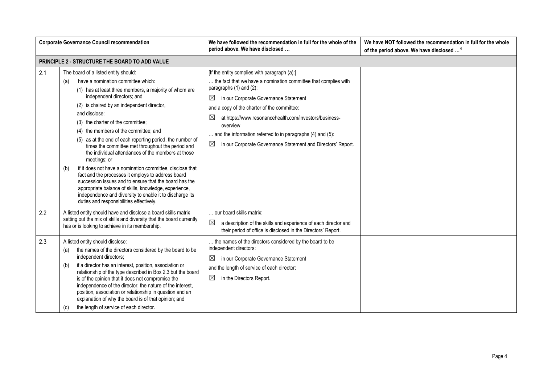|            | <b>Corporate Governance Council recommendation</b>                                                                                                                                                                                                                                                                                                                                                                                                                                                                                                                                                                                                                                                                                                                                                                                                                  | We have followed the recommendation in full for the whole of the<br>period above. We have disclosed                                                                                                                                                                                                                                                                                                                                                                      | We have NOT followed the recommendation in full for the whole<br>of the period above. We have disclosed <sup>4</sup> |
|------------|---------------------------------------------------------------------------------------------------------------------------------------------------------------------------------------------------------------------------------------------------------------------------------------------------------------------------------------------------------------------------------------------------------------------------------------------------------------------------------------------------------------------------------------------------------------------------------------------------------------------------------------------------------------------------------------------------------------------------------------------------------------------------------------------------------------------------------------------------------------------|--------------------------------------------------------------------------------------------------------------------------------------------------------------------------------------------------------------------------------------------------------------------------------------------------------------------------------------------------------------------------------------------------------------------------------------------------------------------------|----------------------------------------------------------------------------------------------------------------------|
|            | PRINCIPLE 2 - STRUCTURE THE BOARD TO ADD VALUE                                                                                                                                                                                                                                                                                                                                                                                                                                                                                                                                                                                                                                                                                                                                                                                                                      |                                                                                                                                                                                                                                                                                                                                                                                                                                                                          |                                                                                                                      |
| 2.1        | The board of a listed entity should:<br>have a nomination committee which:<br>(a)<br>(1) has at least three members, a majority of whom are<br>independent directors; and<br>(2) is chaired by an independent director,<br>and disclose:<br>(3) the charter of the committee;<br>(4) the members of the committee; and<br>(5) as at the end of each reporting period, the number of<br>times the committee met throughout the period and<br>the individual attendances of the members at those<br>meetings; or<br>if it does not have a nomination committee, disclose that<br>(b)<br>fact and the processes it employs to address board<br>succession issues and to ensure that the board has the<br>appropriate balance of skills, knowledge, experience,<br>independence and diversity to enable it to discharge its<br>duties and responsibilities effectively. | [If the entity complies with paragraph (a):]<br>the fact that we have a nomination committee that complies with<br>paragraphs (1) and (2):<br>$\boxtimes$<br>in our Corporate Governance Statement<br>and a copy of the charter of the committee:<br>⊠<br>at https://www.resonancehealth.com/investors/business-<br>overview<br>$\ldots$ and the information referred to in paragraphs (4) and (5):<br>⊠<br>in our Corporate Governance Statement and Directors' Report. |                                                                                                                      |
| 2.2<br>2.3 | A listed entity should have and disclose a board skills matrix<br>setting out the mix of skills and diversity that the board currently<br>has or is looking to achieve in its membership.<br>A listed entity should disclose:<br>the names of the directors considered by the board to be<br>(a)<br>independent directors;<br>if a director has an interest, position, association or<br>(b)<br>relationship of the type described in Box 2.3 but the board<br>is of the opinion that it does not compromise the<br>independence of the director, the nature of the interest,<br>position, association or relationship in question and an                                                                                                                                                                                                                           | our board skills matrix:<br>a description of the skills and experience of each director and<br>their period of office is disclosed in the Directors' Report.<br>the names of the directors considered by the board to be<br>independent directors:<br>$\boxtimes$<br>in our Corporate Governance Statement<br>and the length of service of each director:<br>$\boxtimes$<br>in the Directors Report.                                                                     |                                                                                                                      |
|            | explanation of why the board is of that opinion; and<br>the length of service of each director.<br>(c)                                                                                                                                                                                                                                                                                                                                                                                                                                                                                                                                                                                                                                                                                                                                                              |                                                                                                                                                                                                                                                                                                                                                                                                                                                                          |                                                                                                                      |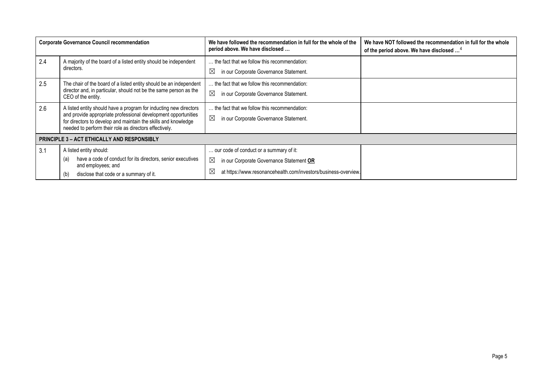|     | <b>Corporate Governance Council recommendation</b>                                                                                                                                         | We have followed the recommendation in full for the whole of the<br>period above. We have disclosed | We have NOT followed the recommendation in full for the whole<br>of the period above. We have disclosed <sup>4</sup> |
|-----|--------------------------------------------------------------------------------------------------------------------------------------------------------------------------------------------|-----------------------------------------------------------------------------------------------------|----------------------------------------------------------------------------------------------------------------------|
| 2.4 | A majority of the board of a listed entity should be independent<br>directors.                                                                                                             | the fact that we follow this recommendation:                                                        |                                                                                                                      |
|     |                                                                                                                                                                                            | $\boxtimes$<br>in our Corporate Governance Statement.                                               |                                                                                                                      |
| 2.5 | The chair of the board of a listed entity should be an independent                                                                                                                         | the fact that we follow this recommendation:                                                        |                                                                                                                      |
|     | director and, in particular, should not be the same person as the<br>CEO of the entity.                                                                                                    | $\boxtimes$<br>in our Corporate Governance Statement.                                               |                                                                                                                      |
| 2.6 | A listed entity should have a program for inducting new directors                                                                                                                          | the fact that we follow this recommendation:                                                        |                                                                                                                      |
|     | and provide appropriate professional development opportunities<br>for directors to develop and maintain the skills and knowledge<br>needed to perform their role as directors effectively. | $\boxtimes$<br>in our Corporate Governance Statement.                                               |                                                                                                                      |
|     | <b>PRINCIPLE 3 - ACT ETHICALLY AND RESPONSIBLY</b>                                                                                                                                         |                                                                                                     |                                                                                                                      |
| 3.1 | A listed entity should:                                                                                                                                                                    | our code of conduct or a summary of it:                                                             |                                                                                                                      |
|     | have a code of conduct for its directors, senior executives<br>(a)<br>and employees; and                                                                                                   | $\boxtimes$<br>in our Corporate Governance Statement OR                                             |                                                                                                                      |
|     | disclose that code or a summary of it.<br>(b)                                                                                                                                              | ⊠<br>at https://www.resonancehealth.com/investors/business-overview.                                |                                                                                                                      |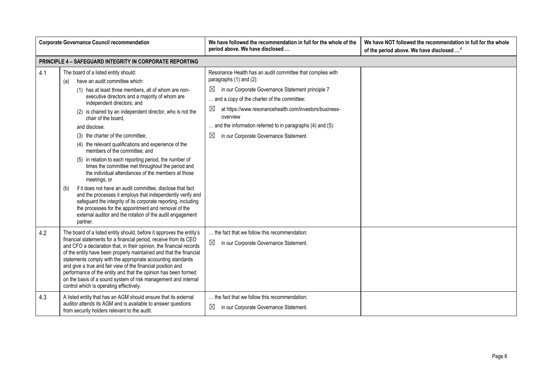| <b>Corporate Governance Council recommendation</b> |                                                                                                                                                                                                                                                                                                                                                                                                                                                                                                                                                                                                                                                                                                                                                                                                                                                                                                                                                                                      | We have followed the recommendation in full for the whole of the<br>period above. We have disclosed                                                                                                                                                                                                                                                                                                                  | We have NOT followed the recommendation in full for the whole<br>of the period above. We have disclosed <sup>4</sup> |
|----------------------------------------------------|--------------------------------------------------------------------------------------------------------------------------------------------------------------------------------------------------------------------------------------------------------------------------------------------------------------------------------------------------------------------------------------------------------------------------------------------------------------------------------------------------------------------------------------------------------------------------------------------------------------------------------------------------------------------------------------------------------------------------------------------------------------------------------------------------------------------------------------------------------------------------------------------------------------------------------------------------------------------------------------|----------------------------------------------------------------------------------------------------------------------------------------------------------------------------------------------------------------------------------------------------------------------------------------------------------------------------------------------------------------------------------------------------------------------|----------------------------------------------------------------------------------------------------------------------|
|                                                    | <b>PRINCIPLE 4 - SAFEGUARD INTEGRITY IN CORPORATE REPORTING</b>                                                                                                                                                                                                                                                                                                                                                                                                                                                                                                                                                                                                                                                                                                                                                                                                                                                                                                                      |                                                                                                                                                                                                                                                                                                                                                                                                                      |                                                                                                                      |
| 4.1                                                | The board of a listed entity should:<br>have an audit committee which:<br>(a)<br>(1) has at least three members, all of whom are non-<br>executive directors and a majority of whom are<br>independent directors; and<br>(2) is chaired by an independent director, who is not the<br>chair of the board,<br>and disclose:<br>(3) the charter of the committee;<br>(4) the relevant qualifications and experience of the<br>members of the committee; and<br>(5) in relation to each reporting period, the number of<br>times the committee met throughout the period and<br>the individual attendances of the members at those<br>meetings; or<br>if it does not have an audit committee, disclose that fact<br>(b)<br>and the processes it employs that independently verify and<br>safeguard the integrity of its corporate reporting, including<br>the processes for the appointment and removal of the<br>external auditor and the rotation of the audit engagement<br>partner. | Resonance Health has an audit committee that complies with<br>paragraphs (1) and (2):<br>$\boxtimes$<br>in our Corporate Governance Statement principle 7<br>and a copy of the charter of the committee:<br>$\boxtimes$<br>at https://www.resonancehealth.com/investors/business-<br>overview<br>and the information referred to in paragraphs (4) and (5):<br>$\boxtimes$<br>in our Corporate Governance Statement. |                                                                                                                      |
| 4.2                                                | The board of a listed entity should, before it approves the entity's<br>financial statements for a financial period, receive from its CEO<br>and CFO a declaration that, in their opinion, the financial records<br>of the entity have been properly maintained and that the financial<br>statements comply with the appropriate accounting standards<br>and give a true and fair view of the financial position and<br>performance of the entity and that the opinion has been formed<br>on the basis of a sound system of risk management and internal<br>control which is operating effectively.                                                                                                                                                                                                                                                                                                                                                                                  | the fact that we follow this recommendation:<br>⊠<br>in our Corporate Governance Statement.                                                                                                                                                                                                                                                                                                                          |                                                                                                                      |
| 4.3                                                | A listed entity that has an AGM should ensure that its external<br>auditor attends its AGM and is available to answer questions<br>from security holders relevant to the audit.                                                                                                                                                                                                                                                                                                                                                                                                                                                                                                                                                                                                                                                                                                                                                                                                      | the fact that we follow this recommendation:<br>⊠<br>in our Corporate Governance Statement.                                                                                                                                                                                                                                                                                                                          |                                                                                                                      |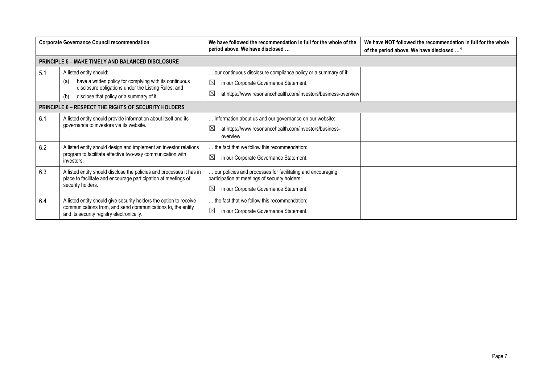|                                                             | <b>Corporate Governance Council recommendation</b>                                                                                                                                                  | We have followed the recommendation in full for the whole of the<br>period above. We have disclosed                                                                                   | We have NOT followed the recommendation in full for the whole<br>of the period above. We have disclosed <sup>4</sup> |
|-------------------------------------------------------------|-----------------------------------------------------------------------------------------------------------------------------------------------------------------------------------------------------|---------------------------------------------------------------------------------------------------------------------------------------------------------------------------------------|----------------------------------------------------------------------------------------------------------------------|
|                                                             | <b>PRINCIPLE 5 - MAKE TIMELY AND BALANCED DISCLOSURE</b>                                                                                                                                            |                                                                                                                                                                                       |                                                                                                                      |
| 5.1                                                         | A listed entity should:<br>have a written policy for complying with its continuous<br>(a)<br>disclosure obligations under the Listing Rules; and<br>disclose that policy or a summary of it.<br>(b) | our continuous disclosure compliance policy or a summary of it:<br>⊠<br>in our Corporate Governance Statement.<br>⊠<br>at https://www.resonancehealth.com/investors/business-overview |                                                                                                                      |
| <b>PRINCIPLE 6 - RESPECT THE RIGHTS OF SECURITY HOLDERS</b> |                                                                                                                                                                                                     |                                                                                                                                                                                       |                                                                                                                      |
| 6.1                                                         | A listed entity should provide information about itself and its<br>governance to investors via its website.                                                                                         | information about us and our governance on our website:<br>⊠<br>at https://www.resonancehealth.com/investors/business-<br>overview                                                    |                                                                                                                      |
| 6.2                                                         | A listed entity should design and implement an investor relations<br>program to facilitate effective two-way communication with<br>investors.                                                       | the fact that we follow this recommendation:<br>⊠<br>in our Corporate Governance Statement.                                                                                           |                                                                                                                      |
| 6.3                                                         | A listed entity should disclose the policies and processes it has in<br>place to facilitate and encourage participation at meetings of<br>security holders.                                         | our policies and processes for facilitating and encouraging<br>participation at meetings of security holders:<br>⊠<br>in our Corporate Governance Statement.                          |                                                                                                                      |
| 6.4                                                         | A listed entity should give security holders the option to receive<br>communications from, and send communications to, the entity<br>and its security registry electronically.                      | the fact that we follow this recommendation:<br>⊠<br>in our Corporate Governance Statement.                                                                                           |                                                                                                                      |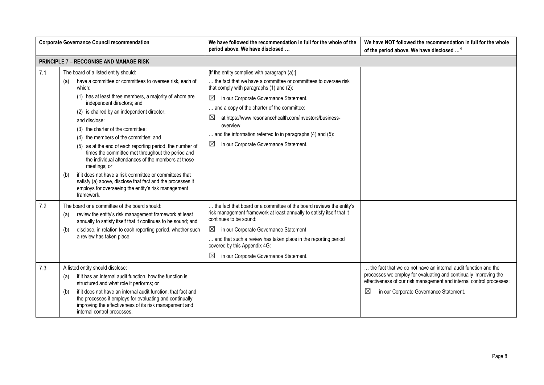|            | <b>Corporate Governance Council recommendation</b>                                                                                                                                                                                                                                                                                                                                                                                                                                                                                                                                                                                                                                                                                                 | We have followed the recommendation in full for the whole of the<br>period above. We have disclosed                                                                                                                                                                                                                                                                                                                                                                   | We have NOT followed the recommendation in full for the whole<br>of the period above. We have disclosed <sup>4</sup>                                                                                                                                                 |
|------------|----------------------------------------------------------------------------------------------------------------------------------------------------------------------------------------------------------------------------------------------------------------------------------------------------------------------------------------------------------------------------------------------------------------------------------------------------------------------------------------------------------------------------------------------------------------------------------------------------------------------------------------------------------------------------------------------------------------------------------------------------|-----------------------------------------------------------------------------------------------------------------------------------------------------------------------------------------------------------------------------------------------------------------------------------------------------------------------------------------------------------------------------------------------------------------------------------------------------------------------|----------------------------------------------------------------------------------------------------------------------------------------------------------------------------------------------------------------------------------------------------------------------|
|            | <b>PRINCIPLE 7 - RECOGNISE AND MANAGE RISK</b>                                                                                                                                                                                                                                                                                                                                                                                                                                                                                                                                                                                                                                                                                                     |                                                                                                                                                                                                                                                                                                                                                                                                                                                                       |                                                                                                                                                                                                                                                                      |
| 7.1        | The board of a listed entity should:<br>have a committee or committees to oversee risk, each of<br>(a)<br>which:<br>(1) has at least three members, a majority of whom are<br>independent directors; and<br>(2) is chaired by an independent director,<br>and disclose:<br>(3) the charter of the committee;<br>(4) the members of the committee; and<br>(5) as at the end of each reporting period, the number of<br>times the committee met throughout the period and<br>the individual attendances of the members at those<br>meetings; or<br>if it does not have a risk committee or committees that<br>(b)<br>satisfy (a) above, disclose that fact and the processes it<br>employs for overseeing the entity's risk management<br>framework. | [If the entity complies with paragraph (a):]<br>the fact that we have a committee or committees to oversee risk<br>that comply with paragraphs (1) and (2):<br>⊠<br>in our Corporate Governance Statement.<br>and a copy of the charter of the committee:<br>$\boxtimes$<br>at https://www.resonancehealth.com/investors/business-<br>overview<br>and the information referred to in paragraphs (4) and (5):<br>in our Corporate Governance Statement.<br>$\boxtimes$ |                                                                                                                                                                                                                                                                      |
| 7.2<br>7.3 | The board or a committee of the board should:<br>review the entity's risk management framework at least<br>(a)<br>annually to satisfy itself that it continues to be sound; and<br>disclose, in relation to each reporting period, whether such<br>(b)<br>a review has taken place.<br>A listed entity should disclose:<br>if it has an internal audit function, how the function is<br>(a)<br>structured and what role it performs; or<br>if it does not have an internal audit function, that fact and<br>(b)                                                                                                                                                                                                                                    | the fact that board or a committee of the board reviews the entity's<br>risk management framework at least annually to satisfy itself that it<br>continues to be sound:<br>in our Corporate Governance Statement<br>and that such a review has taken place in the reporting period<br>covered by this Appendix 4G:<br>⊠<br>in our Corporate Governance Statement.                                                                                                     | the fact that we do not have an internal audit function and the<br>processes we employ for evaluating and continually improving the<br>effectiveness of our risk management and internal control processes:<br>$\boxtimes$<br>in our Corporate Governance Statement. |
|            | the processes it employs for evaluating and continually<br>improving the effectiveness of its risk management and<br>internal control processes.                                                                                                                                                                                                                                                                                                                                                                                                                                                                                                                                                                                                   |                                                                                                                                                                                                                                                                                                                                                                                                                                                                       |                                                                                                                                                                                                                                                                      |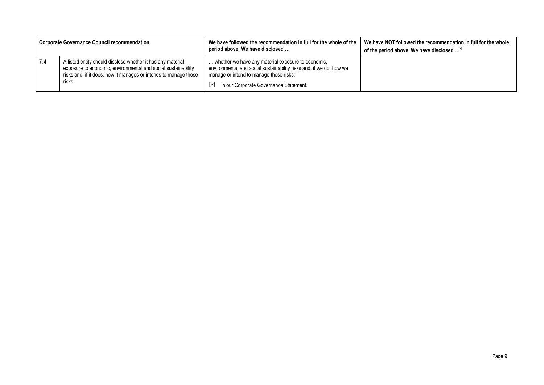|     | <b>Corporate Governance Council recommendation</b>                                                                                                                                                         | We have followed the recommendation in full for the whole of the<br>period above. We have disclosed                                                                                                                         | We have NOT followed the recommendation in full for the whole<br>of the period above. We have disclosed <sup>4</sup> |
|-----|------------------------------------------------------------------------------------------------------------------------------------------------------------------------------------------------------------|-----------------------------------------------------------------------------------------------------------------------------------------------------------------------------------------------------------------------------|----------------------------------------------------------------------------------------------------------------------|
| 7.4 | A listed entity should disclose whether it has any material<br>exposure to economic, environmental and social sustainability<br>risks and, if it does, how it manages or intends to manage those<br>risks. | whether we have any material exposure to economic,<br>environmental and social sustainability risks and, if we do, how we<br>manage or intend to manage those risks:<br>in our Corporate Governance Statement.<br>$\bowtie$ |                                                                                                                      |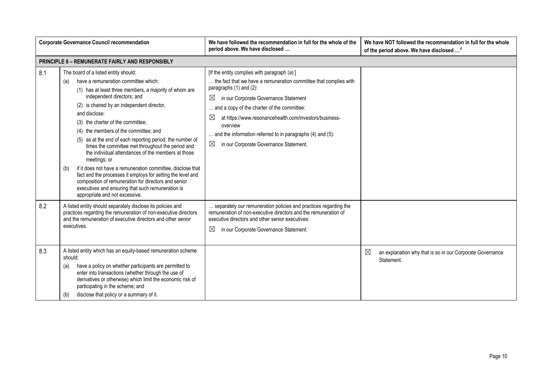| <b>Corporate Governance Council recommendation</b> |                                                                                                                                                                                                                                                                                                                                                                                                                                                                                                                                                                                                                                                                                                                                                                                                      | We have followed the recommendation in full for the whole of the<br>period above. We have disclosed                                                                                                                                                                                                                                                                                                                                                        | We have NOT followed the recommendation in full for the whole<br>of the period above. We have disclosed <sup>4</sup> |
|----------------------------------------------------|------------------------------------------------------------------------------------------------------------------------------------------------------------------------------------------------------------------------------------------------------------------------------------------------------------------------------------------------------------------------------------------------------------------------------------------------------------------------------------------------------------------------------------------------------------------------------------------------------------------------------------------------------------------------------------------------------------------------------------------------------------------------------------------------------|------------------------------------------------------------------------------------------------------------------------------------------------------------------------------------------------------------------------------------------------------------------------------------------------------------------------------------------------------------------------------------------------------------------------------------------------------------|----------------------------------------------------------------------------------------------------------------------|
|                                                    | <b>PRINCIPLE 8 - REMUNERATE FAIRLY AND RESPONSIBLY</b>                                                                                                                                                                                                                                                                                                                                                                                                                                                                                                                                                                                                                                                                                                                                               |                                                                                                                                                                                                                                                                                                                                                                                                                                                            |                                                                                                                      |
| 8.1                                                | The board of a listed entity should:<br>have a remuneration committee which:<br>(a)<br>(1) has at least three members, a majority of whom are<br>independent directors; and<br>(2) is chaired by an independent director,<br>and disclose:<br>(3) the charter of the committee;<br>(4) the members of the committee; and<br>(5) as at the end of each reporting period, the number of<br>times the committee met throughout the period and<br>the individual attendances of the members at those<br>meetings; or<br>if it does not have a remuneration committee, disclose that<br>(b)<br>fact and the processes it employs for setting the level and<br>composition of remuneration for directors and senior<br>executives and ensuring that such remuneration is<br>appropriate and not excessive. | [If the entity complies with paragraph (a):]<br>the fact that we have a remuneration committee that complies with<br>paragraphs $(1)$ and $(2)$ :<br>⊠<br>in our Corporate Governance Statement<br>and a copy of the charter of the committee:<br>$\boxtimes$<br>at https://www.resonancehealth.com/investors/business-<br>overview<br>and the information referred to in paragraphs (4) and (5):<br>$\boxtimes$<br>in our Corporate Governance Statement. |                                                                                                                      |
| 8.2                                                | A listed entity should separately disclose its policies and<br>practices regarding the remuneration of non-executive directors<br>and the remuneration of executive directors and other senior<br>executives.                                                                                                                                                                                                                                                                                                                                                                                                                                                                                                                                                                                        | separately our remuneration policies and practices regarding the<br>remuneration of non-executive directors and the remuneration of<br>executive directors and other senior executives:<br>$\boxtimes$<br>in our Corporate Governance Statement.                                                                                                                                                                                                           |                                                                                                                      |
| 8.3                                                | A listed entity which has an equity-based remuneration scheme<br>should:<br>have a policy on whether participants are permitted to<br>(a)<br>enter into transactions (whether through the use of<br>derivatives or otherwise) which limit the economic risk of<br>participating in the scheme; and<br>disclose that policy or a summary of it.<br>(b)                                                                                                                                                                                                                                                                                                                                                                                                                                                |                                                                                                                                                                                                                                                                                                                                                                                                                                                            | ⊠<br>an explanation why that is so in our Corporate Governance<br>Statement.                                         |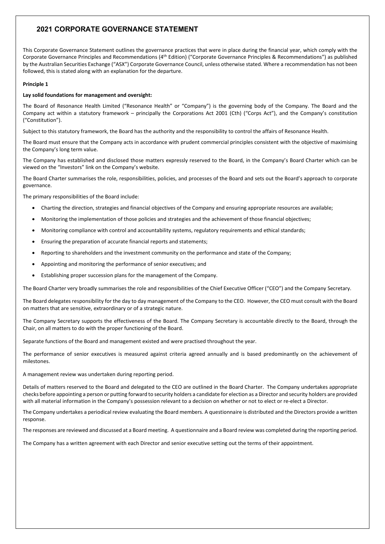This Corporate Governance Statement outlines the governance practices that were in place during the financial year, which comply with the Corporate Governance Principles and Recommendations (4th Edition) ("Corporate Governance Principles & Recommendations") as published by the Australian Securities Exchange ("ASX") Corporate Governance Council, unless otherwise stated. Where a recommendation has not been followed, this is stated along with an explanation for the departure.

#### **Principle 1**

#### **Lay solid foundations for management and oversight:**

The Board of Resonance Health Limited ("Resonance Health" or "Company") is the governing body of the Company. The Board and the Company act within a statutory framework – principally the Corporations Act 2001 (Cth) ("Corps Act"), and the Company's constitution ("Constitution").

Subject to this statutory framework, the Board has the authority and the responsibility to control the affairs of Resonance Health.

The Board must ensure that the Company acts in accordance with prudent commercial principles consistent with the objective of maximising the Company's long term value.

The Company has established and disclosed those matters expressly reserved to the Board, in the Company's Board Charter which can be viewed on the "Investors" link on the Company's website.

The Board Charter summarises the role, responsibilities, policies, and processes of the Board and sets out the Board's approach to corporate governance.

The primary responsibilities of the Board include:

- Charting the direction, strategies and financial objectives of the Company and ensuring appropriate resources are available;
- Monitoring the implementation of those policies and strategies and the achievement of those financial objectives;
- Monitoring compliance with control and accountability systems, regulatory requirements and ethical standards;
- Ensuring the preparation of accurate financial reports and statements;
- Reporting to shareholders and the investment community on the performance and state of the Company;
- Appointing and monitoring the performance of senior executives; and
- Establishing proper succession plans for the management of the Company.

The Board Charter very broadly summarises the role and responsibilities of the Chief Executive Officer ("CEO") and the Company Secretary.

The Board delegates responsibility for the day to day management of the Company to the CEO. However, the CEO must consult with the Board on matters that are sensitive, extraordinary or of a strategic nature.

The Company Secretary supports the effectiveness of the Board. The Company Secretary is accountable directly to the Board, through the Chair, on all matters to do with the proper functioning of the Board.

Separate functions of the Board and management existed and were practised throughout the year.

The performance of senior executives is measured against criteria agreed annually and is based predominantly on the achievement of milestones.

A management review was undertaken during reporting period.

Details of matters reserved to the Board and delegated to the CEO are outlined in the Board Charter. The Company undertakes appropriate checks before appointing a person or putting forward to security holders a candidate for election as a Director and security holders are provided with all material information in the Company's possession relevant to a decision on whether or not to elect or re-elect a Director.

The Company undertakes a periodical review evaluating the Board members. A questionnaire is distributed and the Directors provide a written response.

The responses are reviewed and discussed at a Board meeting. A questionnaire and a Board review was completed during the reporting period.

The Company has a written agreement with each Director and senior executive setting out the terms of their appointment.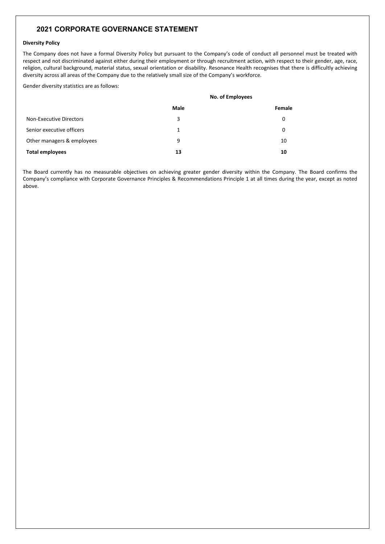#### **Diversity Policy**

The Company does not have a formal Diversity Policy but pursuant to the Company's code of conduct all personnel must be treated with respect and not discriminated against either during their employment or through recruitment action, with respect to their gender, age, race, religion, cultural background, material status, sexual orientation or disability. Resonance Health recognises that there is difficultly achieving diversity across all areas of the Company due to the relatively small size of the Company's workforce.

Gender diversity statistics are as follows:

|                                | No. of Employees |        |
|--------------------------------|------------------|--------|
|                                | Male             | Female |
| <b>Non-Executive Directors</b> | 3                | 0      |
| Senior executive officers      | 1                | 0      |
| Other managers & employees     | 9                | 10     |
| <b>Total employees</b>         | 13               | 10     |

The Board currently has no measurable objectives on achieving greater gender diversity within the Company. The Board confirms the Company's compliance with Corporate Governance Principles & Recommendations Principle 1 at all times during the year, except as noted above.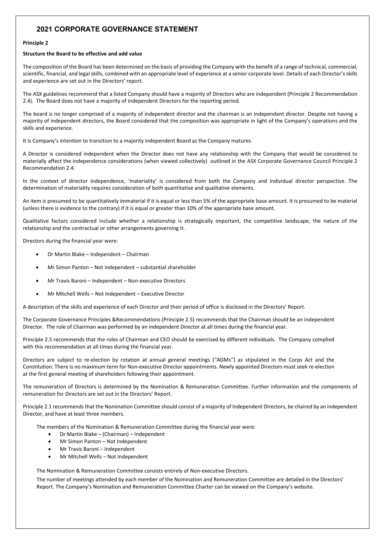#### **Principle 2**

#### **Structure the Board to be effective and add value**

The composition of the Board has been determined on the basis of providing the Company with the benefit of a range of technical, commercial, scientific, financial, and legal skills, combined with an appropriate level of experience at a senior corporate level. Details of each Director's skills and experience are set out in the Directors' report.

The ASX guidelines recommend that a listed Company should have a majority of Directors who are independent (Principle 2 Recommendation 2.4). The Board does not have a majority of independent Directors for the reporting period.

The board is no longer comprised of a majority of independent director and the chairman is an independent director. Despite not having a majority of independent directors, the Board considered that the composition was appropriate in light of the Company's operations and the skills and experience.

It is Company's intention to transition to a majority independent Board as the Company matures.

A Director is considered independent when the Director does not have any relationship with the Company that would be considered to materially affect the independence considerations (when viewed collectively) outlined in the ASX Corporate Governance Council Principle 2 Recommendation 2.4.

In the context of director independence, 'materiality' is considered from both the Company and individual director perspective. The determination of materiality requires consideration of both quantitative and qualitative elements.

An item is presumed to be quantitatively immaterial if it is equal or less than 5% of the appropriate base amount. It is presumed to be material (unless there is evidence to the contrary) if it is equal or greater than 10% of the appropriate base amount.

Qualitative factors considered include whether a relationship is strategically important, the competitive landscape, the nature of the relationship and the contractual or other arrangements governing it.

Directors during the financial year were:

- Dr Martin Blake Independent Chairman
- Mr Simon Panton Not independent substantial shareholder
- Mr Travis Baroni Independent Non-executive Directors
- Mr Mitchell Wells Not Independent Executive Director

A description of the skills and experience of each Director and their period of office is disclosed in the Directors' Report.

The Corporate Governance Principles &Recommendations (Principle 2.5) recommends that the Chairman should be an independent Director. The role of Chairman was performed by an independent Director at all times during the financial year.

Principle 2.5 recommends that the roles of Chairman and CEO should be exercised by different individuals. The Company complied with this recommendation at all times during the financial year.

Directors are subject to re-election by rotation at annual general meetings ("AGMs") as stipulated in the Corps Act and the Constitution. There is no maximum term for Non-executive Director appointments. Newly appointed Directors must seek re-election at the first general meeting of shareholders following their appointment.

The remuneration of Directors is determined by the Nomination & Remuneration Committee. Further information and the components of remuneration for Directors are set out in the Directors' Report.

Principle 2.1 recommends that the Nomination Committee should consist of a majority of Independent Directors, be chaired by an independent Director, and have at least three members.

The members of the Nomination & Remuneration Committee during the financial year were:

- Dr Martin Blake (Chairman) Independent
- Mr Simon Panton Not Independent
- Mr Travis Baroni Independent
- Mr Mitchell Wells Not Independent

The Nomination & Remuneration Committee consists entirely of Non-executive Directors.

The number of meetings attended by each member of the Nomination and Remuneration Committee are detailed in the Directors' Report. The Company's Nomination and Remuneration Committee Charter can be viewed on the Company's website.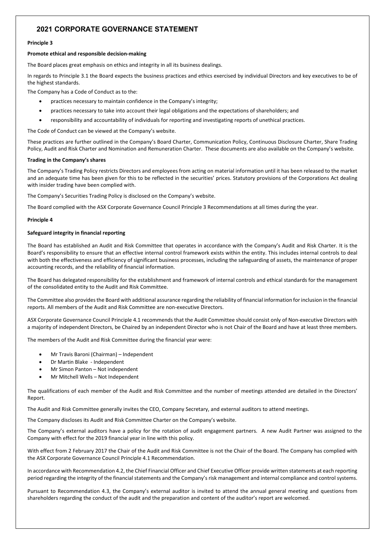#### **Principle 3**

#### **Promote ethical and responsible decision-making**

The Board places great emphasis on ethics and integrity in all its business dealings.

In regards to Principle 3.1 the Board expects the business practices and ethics exercised by individual Directors and key executives to be of the highest standards.

The Company has a Code of Conduct as to the:

- practices necessary to maintain confidence in the Company's integrity;
- practices necessary to take into account their legal obligations and the expectations of shareholders; and
- responsibility and accountability of individuals for reporting and investigating reports of unethical practices.

The Code of Conduct can be viewed at the Company's website.

These practices are further outlined in the Company's Board Charter, Communication Policy, Continuous Disclosure Charter, Share Trading Policy, Audit and Risk Charter and Nomination and Remuneration Charter. These documents are also available on the Company's website.

#### **Trading in the Company's shares**

The Company's Trading Policy restricts Directors and employees from acting on material information until it has been released to the market and an adequate time has been given for this to be reflected in the securities' prices. Statutory provisions of the Corporations Act dealing with insider trading have been complied with.

The Company's Securities Trading Policy is disclosed on the Company's website.

The Board complied with the ASX Corporate Governance Council Principle 3 Recommendations at all times during the year.

#### **Principle 4**

#### **Safeguard integrity in financial reporting**

The Board has established an Audit and Risk Committee that operates in accordance with the Company's Audit and Risk Charter. It is the Board's responsibility to ensure that an effective internal control framework exists within the entity. This includes internal controls to deal with both the effectiveness and efficiency of significant business processes, including the safeguarding of assets, the maintenance of proper accounting records, and the reliability of financial information.

The Board has delegated responsibility for the establishment and framework of internal controls and ethical standards for the management of the consolidated entity to the Audit and Risk Committee.

The Committee also provides the Board with additional assurance regarding the reliability of financial information for inclusion in the financial reports. All members of the Audit and Risk Committee are non-executive Directors.

ASX Corporate Governance Council Principle 4.1 recommends that the Audit Committee should consist only of Non-executive Directors with a majority of independent Directors, be Chaired by an independent Director who is not Chair of the Board and have at least three members.

The members of the Audit and Risk Committee during the financial year were:

- Mr Travis Baroni (Chairman) Independent
- Dr Martin Blake Independent
- Mr Simon Panton Not independent
- Mr Mitchell Wells Not Independent

The qualifications of each member of the Audit and Risk Committee and the number of meetings attended are detailed in the Directors' Report.

The Audit and Risk Committee generally invites the CEO, Company Secretary, and external auditors to attend meetings.

The Company discloses its Audit and Risk Committee Charter on the Company's website.

The Company's external auditors have a policy for the rotation of audit engagement partners. A new Audit Partner was assigned to the Company with effect for the 2019 financial year in line with this policy.

With effect from 2 February 2017 the Chair of the Audit and Risk Committee is not the Chair of the Board. The Company has complied with the ASX Corporate Governance Council Principle 4.1 Recommendation.

In accordance with Recommendation 4.2, the Chief Financial Officer and Chief Executive Officer provide written statements at each reporting period regarding the integrity of the financial statements and the Company's risk management and internal compliance and control systems.

Pursuant to Recommendation 4.3, the Company's external auditor is invited to attend the annual general meeting and questions from shareholders regarding the conduct of the audit and the preparation and content of the auditor's report are welcomed.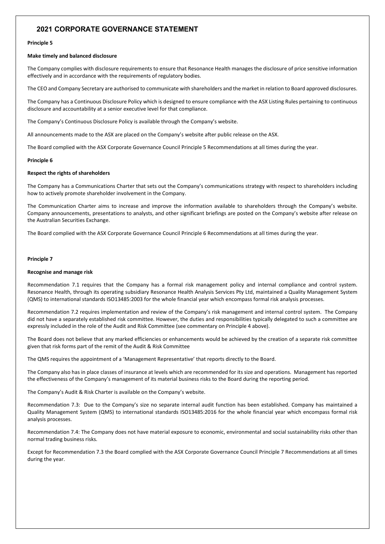#### **Principle 5**

#### **Make timely and balanced disclosure**

The Company complies with disclosure requirements to ensure that Resonance Health manages the disclosure of price sensitive information effectively and in accordance with the requirements of regulatory bodies.

The CEO and Company Secretary are authorised to communicate with shareholders and the market in relation to Board approved disclosures.

The Company has a Continuous Disclosure Policy which is designed to ensure compliance with the ASX Listing Rules pertaining to continuous disclosure and accountability at a senior executive level for that compliance.

The Company's Continuous Disclosure Policy is available through the Company's website.

All announcements made to the ASX are placed on the Company's website after public release on the ASX.

The Board complied with the ASX Corporate Governance Council Principle 5 Recommendations at all times during the year.

#### **Principle 6**

#### **Respect the rights of shareholders**

The Company has a Communications Charter that sets out the Company's communications strategy with respect to shareholders including how to actively promote shareholder involvement in the Company.

The Communication Charter aims to increase and improve the information available to shareholders through the Company's website. Company announcements, presentations to analysts, and other significant briefings are posted on the Company's website after release on the Australian Securities Exchange.

The Board complied with the ASX Corporate Governance Council Principle 6 Recommendations at all times during the year.

#### **Principle 7**

#### **Recognise and manage risk**

Recommendation 7.1 requires that the Company has a formal risk management policy and internal compliance and control system. Resonance Health, through its operating subsidiary Resonance Health Analysis Services Pty Ltd, maintained a Quality Management System (QMS) to international standards ISO13485:2003 for the whole financial year which encompass formal risk analysis processes.

Recommendation 7.2 requires implementation and review of the Company's risk management and internal control system. The Company did not have a separately established risk committee. However, the duties and responsibilities typically delegated to such a committee are expressly included in the role of the Audit and Risk Committee (see commentary on Principle 4 above).

The Board does not believe that any marked efficiencies or enhancements would be achieved by the creation of a separate risk committee given that risk forms part of the remit of the Audit & Risk Committee

The QMS requires the appointment of a 'Management Representative' that reports directly to the Board.

The Company also has in place classes of insurance at levels which are recommended for its size and operations. Management has reported the effectiveness of the Company's management of its material business risks to the Board during the reporting period.

The Company's Audit & Risk Charter is available on the Company's website.

Recommendation 7.3: Due to the Company's size no separate internal audit function has been established. Company has maintained a Quality Management System (QMS) to international standards ISO13485:2016 for the whole financial year which encompass formal risk analysis processes.

Recommendation 7.4: The Company does not have material exposure to economic, environmental and social sustainability risks other than normal trading business risks.

Except for Recommendation 7.3 the Board complied with the ASX Corporate Governance Council Principle 7 Recommendations at all times during the year.